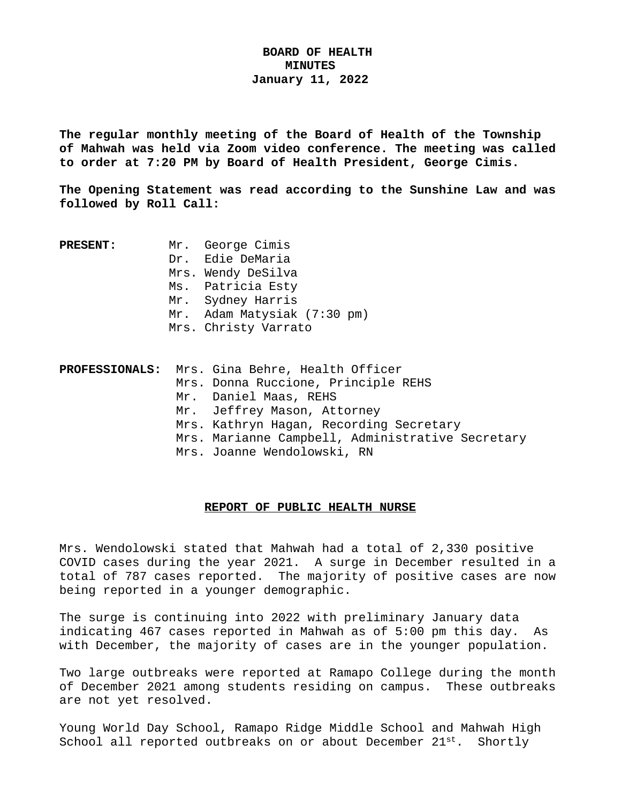# **BOARD OF HEALTH MINUTES January 11, 2022**

**The regular monthly meeting of the Board of Health of the Township of Mahwah was held via Zoom video conference. The meeting was called to order at 7:20 PM by Board of Health President, George Cimis.**

**The Opening Statement was read according to the Sunshine Law and was followed by Roll Call:**

| <b>PRESENT:</b> | Mr. George Cimis            |
|-----------------|-----------------------------|
|                 | Dr. Edie DeMaria            |
|                 | Mrs. Wendy DeSilva          |
|                 | Ms. Patricia Esty           |
|                 | Mr. Sydney Harris           |
|                 | Mr. Adam Matysiak (7:30 pm) |
|                 | Mrs. Christy Varrato        |
|                 |                             |

|  | PROFESSIONALS: Mrs. Gina Behre, Health Officer   |
|--|--------------------------------------------------|
|  | Mrs. Donna Ruccione, Principle REHS              |
|  | Mr. Daniel Maas, REHS                            |
|  | Mr. Jeffrey Mason, Attorney                      |
|  | Mrs. Kathryn Hagan, Recording Secretary          |
|  | Mrs. Marianne Campbell, Administrative Secretary |
|  | Mrs. Joanne Wendolowski, RN                      |

## **REPORT OF PUBLIC HEALTH NURSE**

Mrs. Wendolowski stated that Mahwah had a total of 2,330 positive COVID cases during the year 2021. A surge in December resulted in a total of 787 cases reported. The majority of positive cases are now being reported in a younger demographic.

The surge is continuing into 2022 with preliminary January data indicating 467 cases reported in Mahwah as of 5:00 pm this day. As with December, the majority of cases are in the younger population.

Two large outbreaks were reported at Ramapo College during the month of December 2021 among students residing on campus. These outbreaks are not yet resolved.

Young World Day School, Ramapo Ridge Middle School and Mahwah High School all reported outbreaks on or about December 21st. Shortly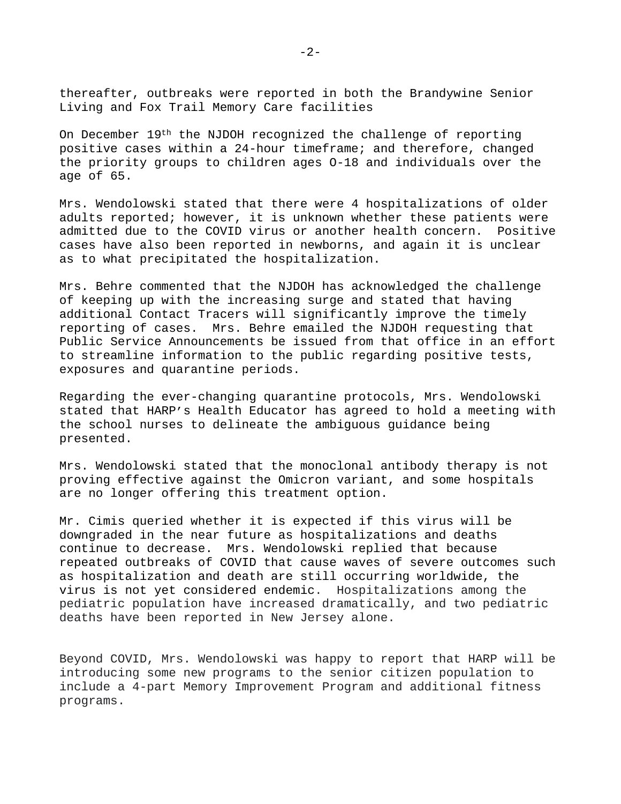thereafter, outbreaks were reported in both the Brandywine Senior Living and Fox Trail Memory Care facilities

On December 19th the NJDOH recognized the challenge of reporting positive cases within a 24-hour timeframe; and therefore, changed the priority groups to children ages O-18 and individuals over the age of 65.

Mrs. Wendolowski stated that there were 4 hospitalizations of older adults reported; however, it is unknown whether these patients were admitted due to the COVID virus or another health concern. Positive cases have also been reported in newborns, and again it is unclear as to what precipitated the hospitalization.

Mrs. Behre commented that the NJDOH has acknowledged the challenge of keeping up with the increasing surge and stated that having additional Contact Tracers will significantly improve the timely reporting of cases. Mrs. Behre emailed the NJDOH requesting that Public Service Announcements be issued from that office in an effort to streamline information to the public regarding positive tests, exposures and quarantine periods.

Regarding the ever-changing quarantine protocols, Mrs. Wendolowski stated that HARP's Health Educator has agreed to hold a meeting with the school nurses to delineate the ambiguous guidance being presented.

Mrs. Wendolowski stated that the monoclonal antibody therapy is not proving effective against the Omicron variant, and some hospitals are no longer offering this treatment option.

Mr. Cimis queried whether it is expected if this virus will be downgraded in the near future as hospitalizations and deaths continue to decrease. Mrs. Wendolowski replied that because repeated outbreaks of COVID that cause waves of severe outcomes such as hospitalization and death are still occurring worldwide, the virus is not yet considered endemic. Hospitalizations among the pediatric population have increased dramatically, and two pediatric deaths have been reported in New Jersey alone.

Beyond COVID, Mrs. Wendolowski was happy to report that HARP will be introducing some new programs to the senior citizen population to include a 4-part Memory Improvement Program and additional fitness programs.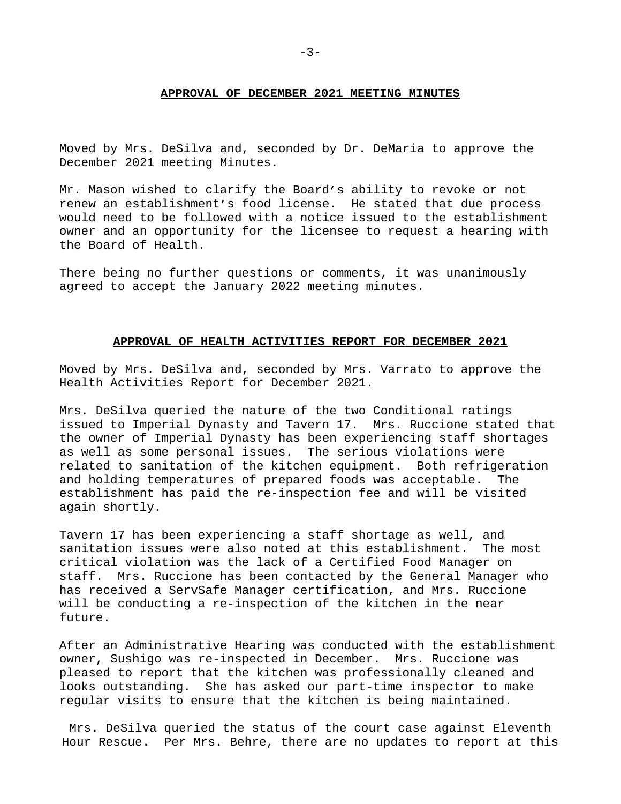#### **APPROVAL OF DECEMBER 2021 MEETING MINUTES**

Moved by Mrs. DeSilva and, seconded by Dr. DeMaria to approve the December 2021 meeting Minutes.

Mr. Mason wished to clarify the Board's ability to revoke or not renew an establishment's food license. He stated that due process would need to be followed with a notice issued to the establishment owner and an opportunity for the licensee to request a hearing with the Board of Health.

There being no further questions or comments, it was unanimously agreed to accept the January 2022 meeting minutes.

## **APPROVAL OF HEALTH ACTIVITIES REPORT FOR DECEMBER 2021**

Moved by Mrs. DeSilva and, seconded by Mrs. Varrato to approve the Health Activities Report for December 2021.

Mrs. DeSilva queried the nature of the two Conditional ratings issued to Imperial Dynasty and Tavern 17. Mrs. Ruccione stated that the owner of Imperial Dynasty has been experiencing staff shortages as well as some personal issues. The serious violations were related to sanitation of the kitchen equipment. Both refrigeration and holding temperatures of prepared foods was acceptable. The establishment has paid the re-inspection fee and will be visited again shortly.

Tavern 17 has been experiencing a staff shortage as well, and sanitation issues were also noted at this establishment. The most critical violation was the lack of a Certified Food Manager on staff. Mrs. Ruccione has been contacted by the General Manager who has received a ServSafe Manager certification, and Mrs. Ruccione will be conducting a re-inspection of the kitchen in the near future.

After an Administrative Hearing was conducted with the establishment owner, Sushigo was re-inspected in December. Mrs. Ruccione was pleased to report that the kitchen was professionally cleaned and looks outstanding. She has asked our part-time inspector to make regular visits to ensure that the kitchen is being maintained.

Mrs. DeSilva queried the status of the court case against Eleventh Hour Rescue. Per Mrs. Behre, there are no updates to report at this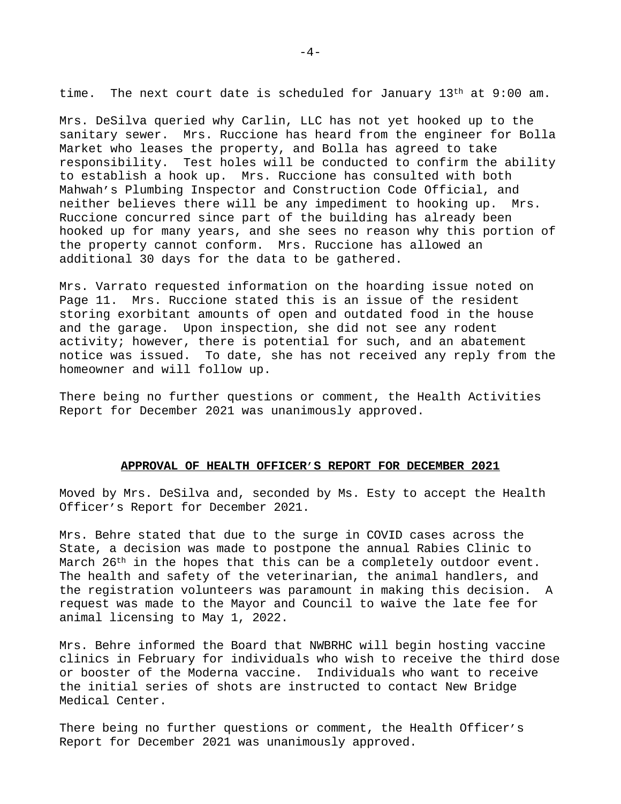time. The next court date is scheduled for January  $13<sup>th</sup>$  at  $9:00$  am.

Mrs. DeSilva queried why Carlin, LLC has not yet hooked up to the sanitary sewer. Mrs. Ruccione has heard from the engineer for Bolla Market who leases the property, and Bolla has agreed to take responsibility. Test holes will be conducted to confirm the ability to establish a hook up. Mrs. Ruccione has consulted with both Mahwah's Plumbing Inspector and Construction Code Official, and neither believes there will be any impediment to hooking up. Mrs. Ruccione concurred since part of the building has already been hooked up for many years, and she sees no reason why this portion of the property cannot conform. Mrs. Ruccione has allowed an additional 30 days for the data to be gathered.

Mrs. Varrato requested information on the hoarding issue noted on Page 11. Mrs. Ruccione stated this is an issue of the resident storing exorbitant amounts of open and outdated food in the house and the garage. Upon inspection, she did not see any rodent activity; however, there is potential for such, and an abatement notice was issued. To date, she has not received any reply from the homeowner and will follow up.

There being no further questions or comment, the Health Activities Report for December 2021 was unanimously approved.

## **APPROVAL OF HEALTH OFFICER'S REPORT FOR DECEMBER 2021**

Moved by Mrs. DeSilva and, seconded by Ms. Esty to accept the Health Officer's Report for December 2021.

Mrs. Behre stated that due to the surge in COVID cases across the State, a decision was made to postpone the annual Rabies Clinic to March  $26<sup>th</sup>$  in the hopes that this can be a completely outdoor event. The health and safety of the veterinarian, the animal handlers, and the registration volunteers was paramount in making this decision. A request was made to the Mayor and Council to waive the late fee for animal licensing to May 1, 2022.

Mrs. Behre informed the Board that NWBRHC will begin hosting vaccine clinics in February for individuals who wish to receive the third dose or booster of the Moderna vaccine. Individuals who want to receive the initial series of shots are instructed to contact New Bridge Medical Center.

There being no further questions or comment, the Health Officer's Report for December 2021 was unanimously approved.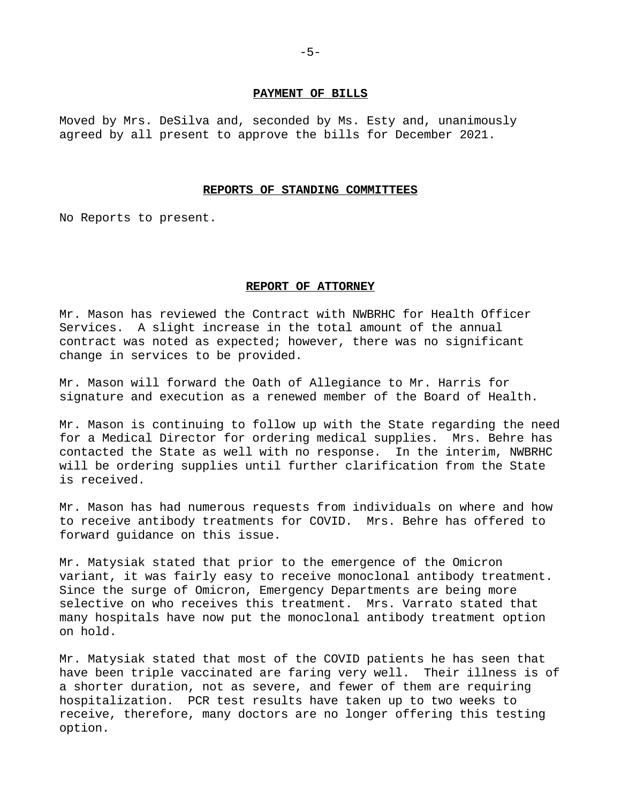### **PAYMENT OF BILLS**

Moved by Mrs. DeSilva and, seconded by Ms. Esty and, unanimously agreed by all present to approve the bills for December 2021.

#### **REPORTS OF STANDING COMMITTEES**

No Reports to present.

#### **REPORT OF ATTORNEY**

Mr. Mason has reviewed the Contract with NWBRHC for Health Officer Services. A slight increase in the total amount of the annual contract was noted as expected; however, there was no significant change in services to be provided.

Mr. Mason will forward the Oath of Allegiance to Mr. Harris for signature and execution as a renewed member of the Board of Health.

Mr. Mason is continuing to follow up with the State regarding the need for a Medical Director for ordering medical supplies. Mrs. Behre has contacted the State as well with no response. In the interim, NWBRHC will be ordering supplies until further clarification from the State is received.

Mr. Mason has had numerous requests from individuals on where and how to receive antibody treatments for COVID. Mrs. Behre has offered to forward guidance on this issue.

Mr. Matysiak stated that prior to the emergence of the Omicron variant, it was fairly easy to receive monoclonal antibody treatment. Since the surge of Omicron, Emergency Departments are being more selective on who receives this treatment. Mrs. Varrato stated that many hospitals have now put the monoclonal antibody treatment option on hold.

Mr. Matysiak stated that most of the COVID patients he has seen that have been triple vaccinated are faring very well. Their illness is of a shorter duration, not as severe, and fewer of them are requiring hospitalization. PCR test results have taken up to two weeks to receive, therefore, many doctors are no longer offering this testing option.